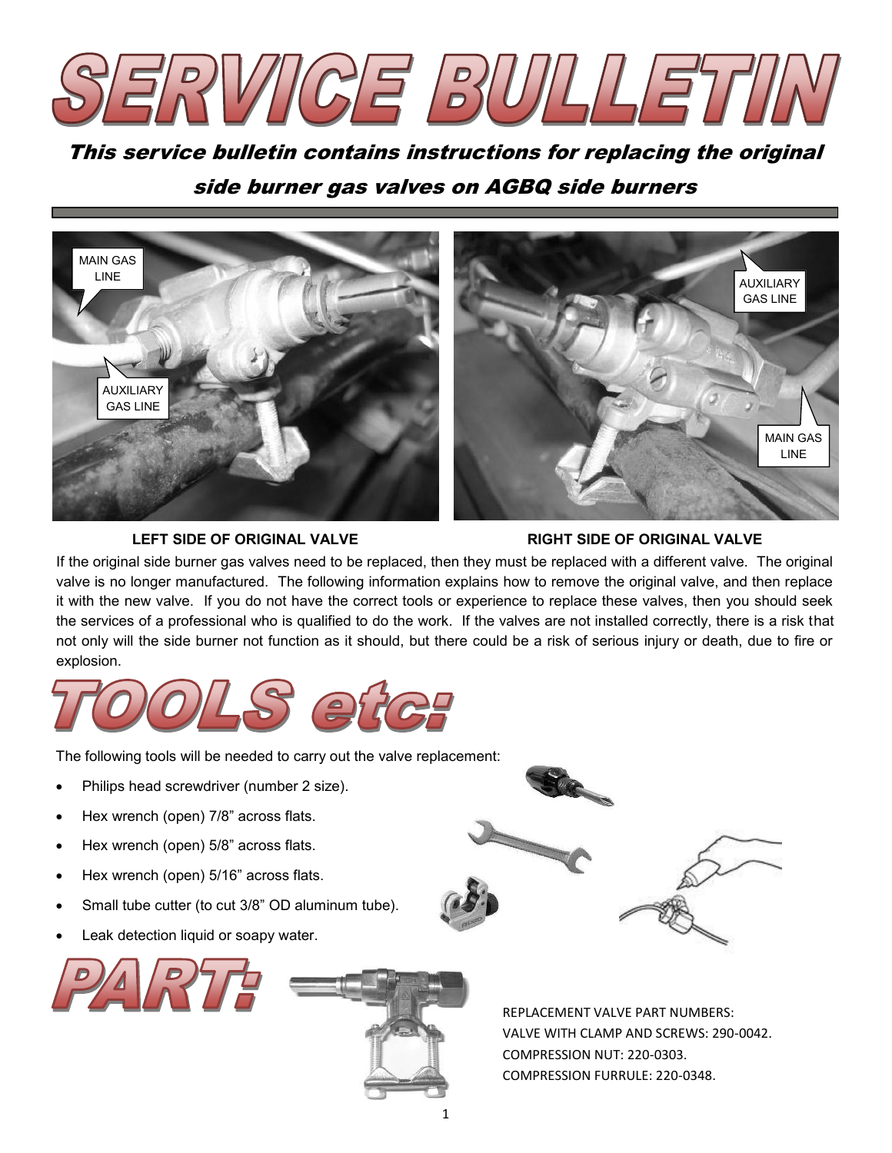

This service bulletin contains instructions for replacing the original side burner gas valves on AGBQ side burners



#### **LEFT SIDE OF ORIGINAL VALVE RIGHT SIDE OF ORIGINAL VALVE**

If the original side burner gas valves need to be replaced, then they must be replaced with a different valve. The original valve is no longer manufactured. The following information explains how to remove the original valve, and then replace it with the new valve. If you do not have the correct tools or experience to replace these valves, then you should seek the services of a professional who is qualified to do the work. If the valves are not installed correctly, there is a risk that not only will the side burner not function as it should, but there could be a risk of serious injury or death, due to fire or explosion.



The following tools will be needed to carry out the valve replacement:

- Philips head screwdriver (number 2 size).
- Hex wrench (open) 7/8" across flats.
- Hex wrench (open) 5/8" across flats.
- Hex wrench (open) 5/16" across flats.
- Small tube cutter (to cut 3/8" OD aluminum tube).
- Leak detection liquid or soapy water.





REPLACEMENT VALVE PART NUMBERS: VALVE WITH CLAMP AND SCREWS: 290-0042. COMPRESSION NUT: 220-0303. COMPRESSION FURRULE: 220-0348.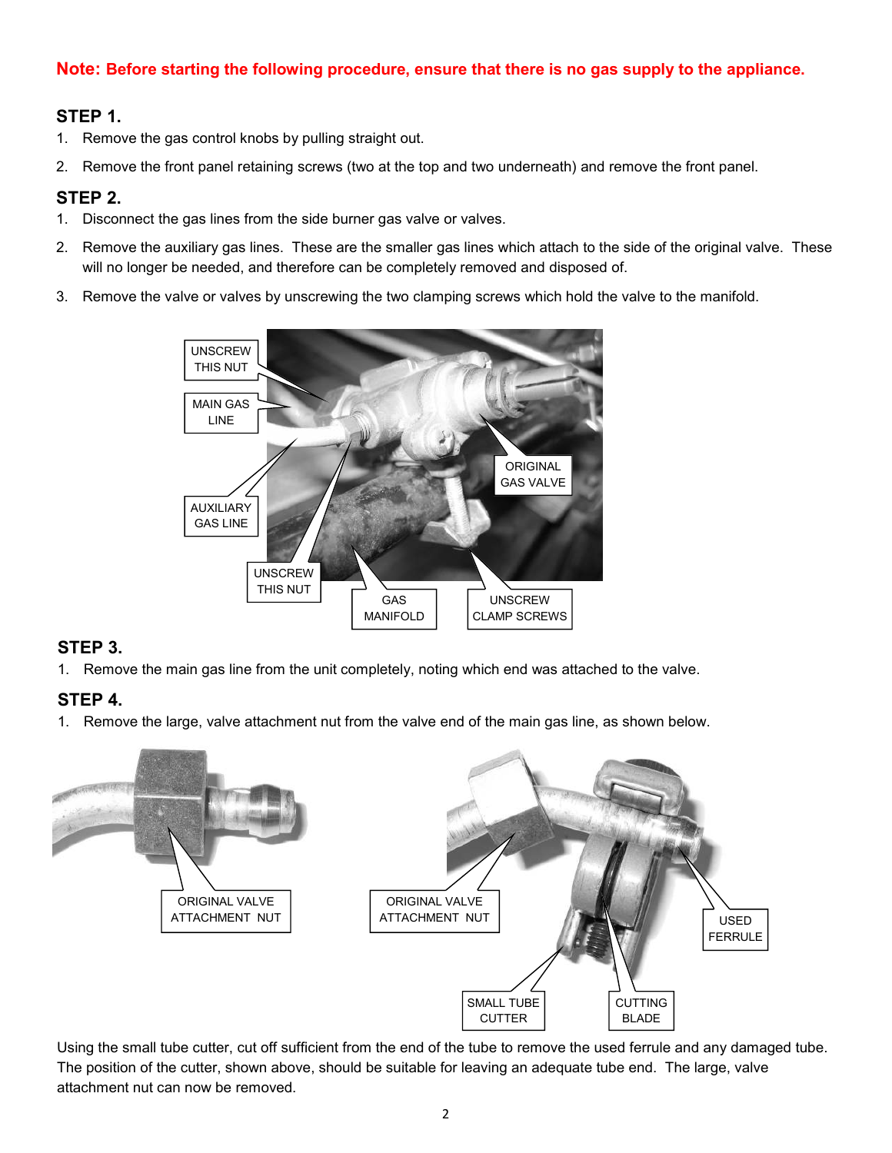## **Note: Before starting the following procedure, ensure that there is no gas supply to the appliance.**

## **STEP 1.**

- 1. Remove the gas control knobs by pulling straight out.
- 2. Remove the front panel retaining screws (two at the top and two underneath) and remove the front panel.

### **STEP 2.**

- 1. Disconnect the gas lines from the side burner gas valve or valves.
- 2. Remove the auxiliary gas lines. These are the smaller gas lines which attach to the side of the original valve. These will no longer be needed, and therefore can be completely removed and disposed of.
- 3. Remove the valve or valves by unscrewing the two clamping screws which hold the valve to the manifold.



## **STEP 3.**

1. Remove the main gas line from the unit completely, noting which end was attached to the valve.

## **STEP 4.**

1. Remove the large, valve attachment nut from the valve end of the main gas line, as shown below.



Using the small tube cutter, cut off sufficient from the end of the tube to remove the used ferrule and any damaged tube. The position of the cutter, shown above, should be suitable for leaving an adequate tube end. The large, valve attachment nut can now be removed.